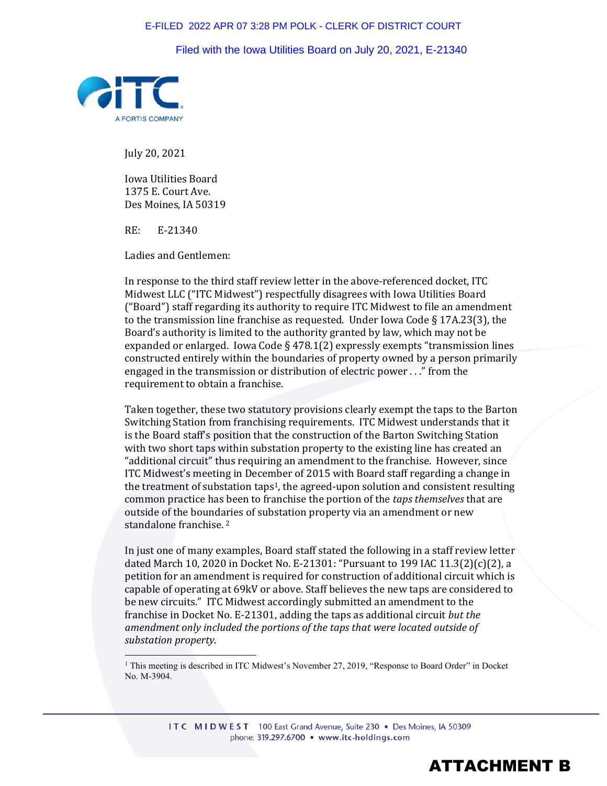## E-FILED 2022 APR 07 3:28 PM POLK - CLERK OF DISTRICT COURT

Filed with the Iowa Utilities Board on July 20, 2021, E-21340



July 20, 2021

Iowa Utilities Board 1375 E. Court Ave. Des Moines, IA 50319

RE: E-21340

Ladies and Gentlemen:

In response to the third staff review letter in the above-referenced docket, ITC Midwest LLC ("ITC Midwest") respectfully disagrees with Iowa Utilities Board ("Board") staff regarding its authority to require ITC Midwest to file an amendment to the transmission line franchise as requested. Under Iowa Code  $\S 17A.23(3)$ , the Board's authority is limited to the authority granted by law, which may not be expanded or enlarged. Iowa Code § 478.1(2) expressly exempts "transmission lines constructed entirely within the boundaries of property owned by a person primarily engaged in the transmission or distribution of electric power . . ." from the requirement to obtain a franchise.

Taken together, these two statutory provisions clearly exempt the taps to the Barton Switching Station from franchising requirements. ITC Midwest understands that it is the Board staff's position that the construction of the Barton Switching Station with two short taps within substation property to the existing line has created an "additional circuit" thus requiring an amendment to the franchise. However, since ITC Midwest's meeting in December of 2015 with Board staff regarding a change in the treatment of substation taps1, the agreed-upon solution and consistent resulting common practice has been to franchise the portion of the *taps themselves* that are outside of the boundaries of substation property via an amendment or new standalone franchise.<sup>2</sup>

In just one of many examples, Board staff stated the following in a staff review letter dated March 10, 2020 in Docket No. E-21301: "Pursuant to 199 IAC 11.3(2)(c)(2), a petition for an amendment is required for construction of additional circuit which is capable of operating at 69kV or above. Staff believes the new taps are considered to be new circuits." ITC Midwest accordingly submitted an amendment to the franchise in Docket No. E-21301, adding the taps as additional circuit *but the amendment only included the portions of the taps that were located outside of substation property*.

<sup>1</sup> This meeting is described in ITC Midwest's November 27, 2019, "Response to Board Order" in Docket No. M-3904.

> ITC MIDWEST 100 East Grand Avenue, Suite 230 • Des Moines, IA 50309 phone: 319.297.6700 · www.itc-holdings.com